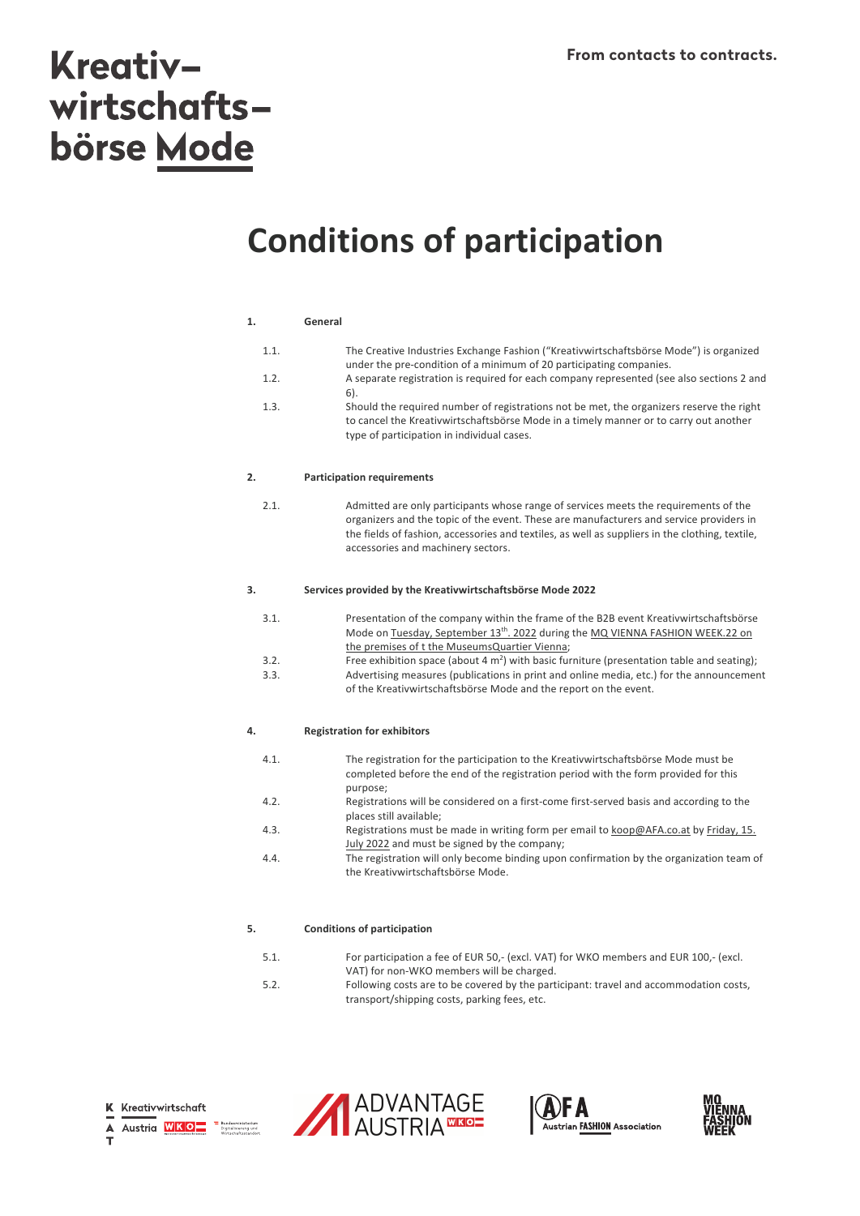# **Kreativ**wirtschaftsbörse Mode

# **Conditions of participation**

#### **1. General**

| 1.1. | The Creative Industries Exchange Fashion ("Kreativwirtschaftsbörse Mode") is organized<br>under the pre-condition of a minimum of 20 participating companies.                                                                   |
|------|---------------------------------------------------------------------------------------------------------------------------------------------------------------------------------------------------------------------------------|
| 1.2. | A separate registration is required for each company represented (see also sections 2 and<br>6).                                                                                                                                |
| 1.3. | Should the required number of registrations not be met, the organizers reserve the right<br>to cancel the Kreativwirtschaftsbörse Mode in a timely manner or to carry out another<br>type of participation in individual cases. |

#### **2. Participation requirements**

2.1. Admitted are only participants whose range of services meets the requirements of the organizers and the topic of the event. These are manufacturers and service providers in the fields of fashion, accessories and textiles, as well as suppliers in the clothing, textile, accessories and machinery sectors.

#### **3. Services provided by the Kreativwirtschaftsbörse Mode 2022**

| 3.1. | Presentation of the company within the frame of the B2B event Kreativwirtschaftsbörse      |
|------|--------------------------------------------------------------------------------------------|
|      | Mode on Tuesday, September 13 <sup>th</sup> . 2022 during the MQ VIENNA FASHION WEEK.22 on |
|      | the premises of t the MuseumsQuartier Vienna;                                              |
|      |                                                                                            |

3.2. Free exhibition space (about 4  $m<sup>2</sup>$ ) with basic furniture (presentation table and seating); 3.3. Advertising measures (publications in print and online media, etc.) for the announcement of the Kreativwirtschaftsbörse Mode and the report on the event.

#### **4. Registration for exhibitors**

| 4.1. | The registration for the participation to the Kreativwirtschaftsbörse Mode must be       |
|------|------------------------------------------------------------------------------------------|
|      | completed before the end of the registration period with the form provided for this      |
|      | purpose:                                                                                 |
| 12   | Pogistrations will be considered on a first some first sensed basis and according to the |

- 4.2. Registrations will be considered on a first-come first-served basis and according to the places still available;
- 4.3. Registrations must be made in writing form per email to koop@AFA.co.at by Friday, 15. July 2022 and must be signed by the company;
- 4.4. The registration will only become binding upon confirmation by the organization team of the Kreativwirtschaftsbörse Mode.

#### **5. Conditions of participation**

- 5.1. For participation a fee of EUR 50,- (excl. VAT) for WKO members and EUR 100,- (excl.
- VAT) for non-WKO members will be charged. 5.2. Following costs are to be covered by the participant: travel and accommodation costs, transport/shipping costs, parking fees, etc.

ninisterium<br>ierung und





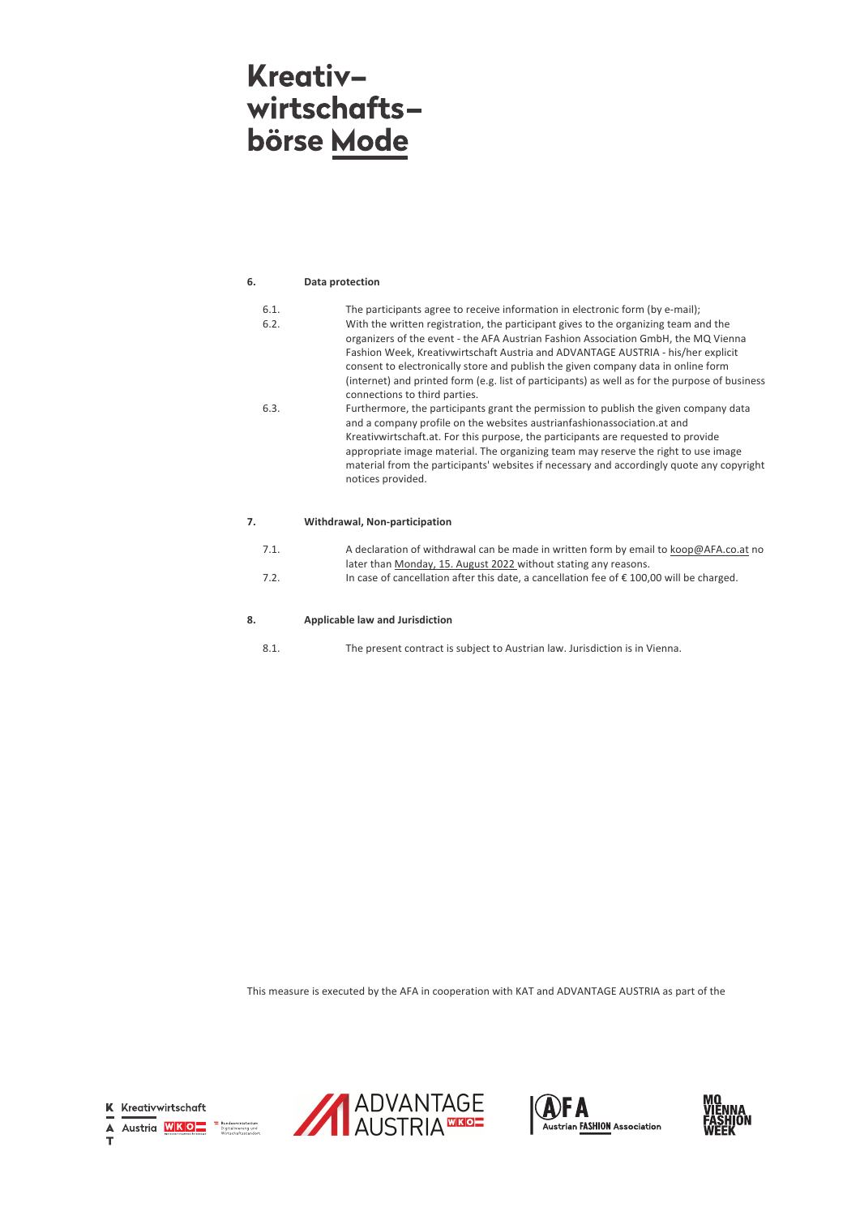### **Kreativ**wirtschaftsbörse Mode

#### **6. Data protection**

| 6.1. | The participants agree to receive information in electronic form (by e-mail);                  |
|------|------------------------------------------------------------------------------------------------|
| 6.2. | With the written registration, the participant gives to the organizing team and the            |
|      | organizers of the event - the AFA Austrian Fashion Association GmbH, the MQ Vienna             |
|      | Fashion Week, Kreativwirtschaft Austria and ADVANTAGE AUSTRIA - his/her explicit               |
|      | consent to electronically store and publish the given company data in online form              |
|      | (internet) and printed form (e.g. list of participants) as well as for the purpose of business |
|      | connections to third parties.                                                                  |
| 6.3. | Furthermore, the participants grant the permission to publish the given company data           |
|      | and a company profile on the websites austrianfashionassociation.at and                        |
|      | Kreativwirtschaft.at. For this purpose, the participants are requested to provide              |
|      | appropriate image material. The organizing team may reserve the right to use image             |
|      | material from the participants' websites if necessary and accordingly quote any copyright      |
|      | notices provided.                                                                              |
|      |                                                                                                |

#### **7. Withdrawal, Non-participation**

| 7.1. | A declaration of withdrawal can be made in written form by email to koop@AFA.co.at no             |
|------|---------------------------------------------------------------------------------------------------|
|      | later than Monday, 15. August 2022 without stating any reasons.                                   |
| 7.2. | In case of cancellation after this date, a cancellation fee of $\epsilon$ 100,00 will be charged. |

#### **8. Applicable law and Jurisdiction**

8.1. The present contract is subject to Austrian law. Jurisdiction is in Vienna.

This measure is executed by the AFA in cooperation with KAT and ADVANTAGE AUSTRIA as part of the